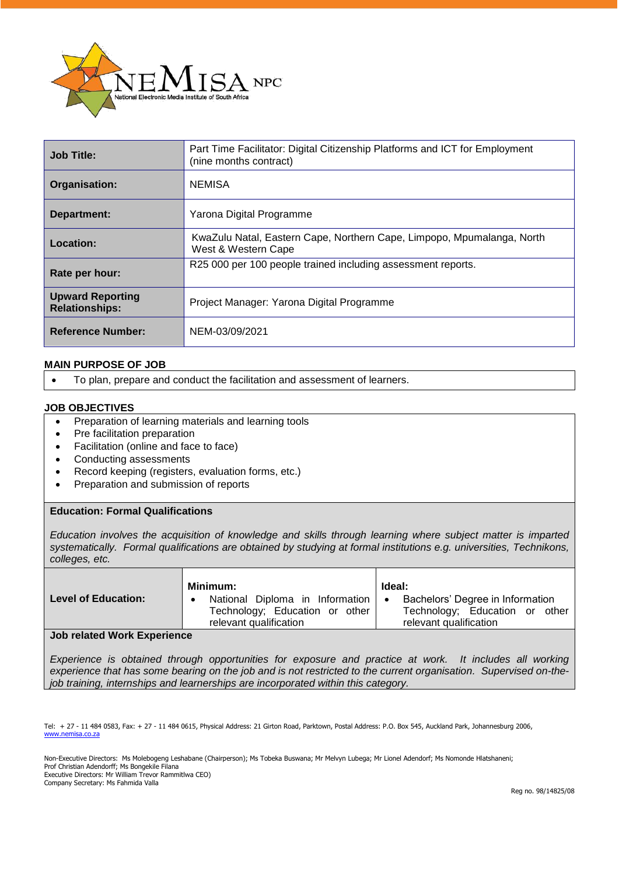

| <b>Job Title:</b>                                | Part Time Facilitator: Digital Citizenship Platforms and ICT for Employment<br>(nine months contract) |  |
|--------------------------------------------------|-------------------------------------------------------------------------------------------------------|--|
| Organisation:                                    | <b>NEMISA</b>                                                                                         |  |
| Department:                                      | Yarona Digital Programme                                                                              |  |
| Location:                                        | KwaZulu Natal, Eastern Cape, Northern Cape, Limpopo, Mpumalanga, North<br>West & Western Cape         |  |
| Rate per hour:                                   | R25 000 per 100 people trained including assessment reports.                                          |  |
| <b>Upward Reporting</b><br><b>Relationships:</b> | Project Manager: Yarona Digital Programme                                                             |  |
| <b>Reference Number:</b>                         | NEM-03/09/2021                                                                                        |  |

# **MAIN PURPOSE OF JOB**

• To plan, prepare and conduct the facilitation and assessment of learners.

### **JOB OBJECTIVES**

- Preparation of learning materials and learning tools
- Pre facilitation preparation
- Facilitation (online and face to face)
- Conducting assessments
- Record keeping (registers, evaluation forms, etc.)
- Preparation and submission of reports

# **Education: Formal Qualifications**

*Education involves the acquisition of knowledge and skills through learning where subject matter is imparted systematically. Formal qualifications are obtained by studying at formal institutions e.g. universities, Technikons, colleges, etc.*

|                            | Minimum:                                                                                    | Ideal:                                                                                            |
|----------------------------|---------------------------------------------------------------------------------------------|---------------------------------------------------------------------------------------------------|
| <b>Level of Education:</b> | National Diploma in Information<br>Technology; Education or other<br>relevant qualification | Bachelors' Degree in Information<br>٠<br>Technology; Education or other<br>relevant qualification |
| .                          |                                                                                             |                                                                                                   |

#### **Job related Work Experience**

*Experience is obtained through opportunities for exposure and practice at work. It includes all working experience that has some bearing on the job and is not restricted to the current organisation. Supervised on-thejob training, internships and learnerships are incorporated within this category.*

Tel: + 27 - 11 484 0583, Fax: + 27 - 11 484 0615, Physical Address: 21 Girton Road, Parktown, Postal Address: P.O. Box 545, Auckland Park, Johannesburg 2006, [www.nemisa.co.za](http://www.nemisa.co.za/)

Non-Executive Directors: Ms Molebogeng Leshabane (Chairperson); Ms Tobeka Buswana; Mr Melvyn Lubega; Mr Lionel Adendorf; Ms Nomonde Hlatshaneni; Prof Christian Adendorff; Ms Bongekile Filana Executive Directors: Mr William Trevor Rammitlwa CEO) Company Secretary: Ms Fahmida Valla